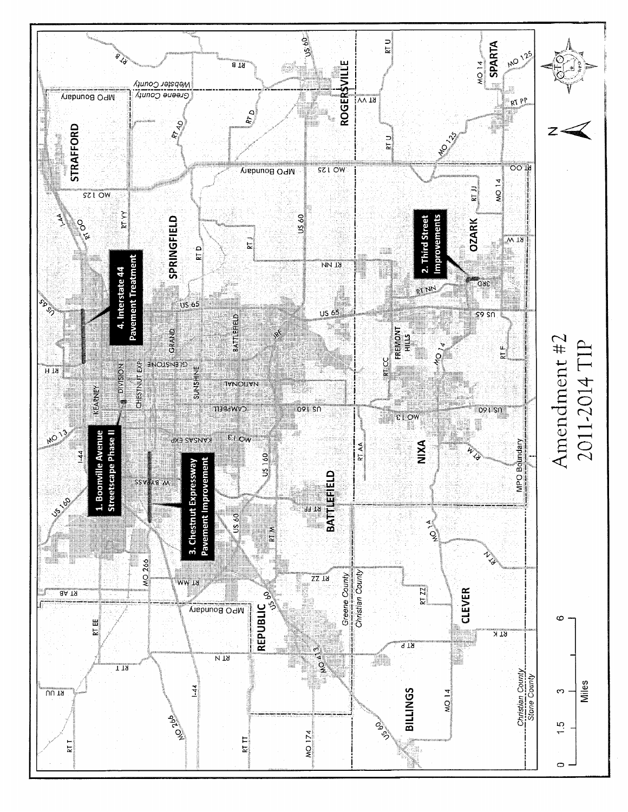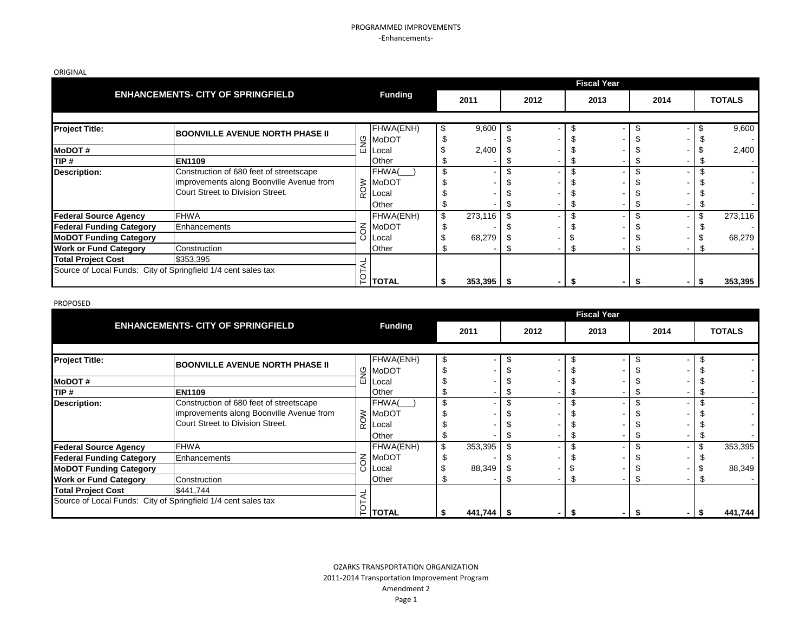### PROGRAMMED IMPROVEMENTS -Enhancements-

| ORIGINAL |  |
|----------|--|
|----------|--|

|                                                                                                  |                                                                                                                         |                |                                         |                         |  |                |    | <b>Fiscal Year</b> |      |                   |
|--------------------------------------------------------------------------------------------------|-------------------------------------------------------------------------------------------------------------------------|----------------|-----------------------------------------|-------------------------|--|----------------|----|--------------------|------|-------------------|
|                                                                                                  | <b>ENHANCEMENTS- CITY OF SPRINGFIELD</b>                                                                                | <b>Funding</b> |                                         | 2011                    |  | 2012           |    | 2013               | 2014 | <b>TOTALS</b>     |
| <b>Project Title:</b>                                                                            | <b>BOONVILLE AVENUE NORTH PHASE II</b>                                                                                  | ୍ର             | FHWA(ENH)<br><b>MoDOT</b>               | 9,600                   |  |                |    |                    |      | 9,600             |
| <b>MoDOT#</b><br>TIP #                                                                           | <b>EN1109</b>                                                                                                           | ш              | Local<br>Other                          | 2,400                   |  |                | Ψ  |                    |      | 2,400             |
| <b>Description:</b>                                                                              | Construction of 680 feet of streetscape<br>improvements along Boonville Avenue from<br>Court Street to Division Street. | <b>ROW</b>     | FHWA(<br><b>MoDOT</b><br>Local<br>Other |                         |  |                | \$ |                    |      |                   |
| <b>Federal Source Agency</b><br><b>Federal Funding Category</b><br><b>MoDOT Funding Category</b> | <b>FHWA</b><br>Enhancements                                                                                             | $\leq$<br>Ö    | FHWA(ENH)<br>MoDOT<br>Local             | \$<br>273,116<br>68,279 |  | ۰.             |    |                    |      | 273,116<br>68,279 |
| <b>Work or Fund Category</b><br><b>Total Project Cost</b>                                        | Construction<br>\$353,395                                                                                               |                | Other                                   |                         |  | ۰              | Ъ  |                    |      |                   |
| Source of Local Funds: City of Springfield 1/4 cent sales tax                                    |                                                                                                                         | $\frac{1}{2}$  | <b>TOTAL</b>                            | 353,395                 |  | $\blacksquare$ | S  |                    |      | 353,395           |

#### PROPOSED

|                                                               |                                          |          |                |    |         |      | <b>Fiscal Year</b>       |  |      |               |
|---------------------------------------------------------------|------------------------------------------|----------|----------------|----|---------|------|--------------------------|--|------|---------------|
|                                                               | <b>ENHANCEMENTS- CITY OF SPRINGFIELD</b> |          | <b>Funding</b> |    | 2011    | 2012 | 2013                     |  | 2014 | <b>TOTALS</b> |
|                                                               |                                          |          |                |    |         |      |                          |  |      |               |
| <b>Project Title:</b>                                         | <b>BOONVILLE AVENUE NORTH PHASE II</b>   |          | FHWA(ENH)      |    |         |      | $\overline{\phantom{0}}$ |  |      |               |
|                                                               |                                          |          | g MoDOT        |    |         |      |                          |  |      |               |
| <b>MoDOT#</b>                                                 |                                          |          | Local          |    |         |      |                          |  |      |               |
| TIP #                                                         | <b>EN1109</b>                            |          | Other          |    |         |      |                          |  |      |               |
| Description:                                                  | Construction of 680 feet of streetscape  |          | FHWA(          | ₼  |         |      |                          |  |      |               |
|                                                               | improvements along Boonville Avenue from |          | $\geq$ MoDOT   |    |         |      |                          |  |      |               |
|                                                               | Court Street to Division Street.         | $\alpha$ | _ocal          |    |         |      |                          |  |      |               |
|                                                               |                                          |          | Other          |    |         |      |                          |  |      |               |
| <b>Federal Source Agency</b>                                  | <b>FHWA</b>                              |          | FHWA(ENH)      | \$ | 353,395 |      | ۰.                       |  |      | 353,395       |
| <b>Federal Funding Category</b>                               | Enhancements                             | $\leq$   | MoDOT          |    |         |      |                          |  |      |               |
| <b>MoDOT Funding Category</b>                                 |                                          |          | ∟ocal          |    | 88,349  |      |                          |  |      | 88,349        |
| <b>Work or Fund Category</b>                                  | Construction                             |          | Other          |    |         |      |                          |  |      |               |
| <b>Total Project Cost</b>                                     | \$441,744                                |          |                |    |         |      |                          |  |      |               |
| Source of Local Funds: City of Springfield 1/4 cent sales tax |                                          |          | <b>TOTAL</b>   |    | 441,744 |      |                          |  |      | 441,744       |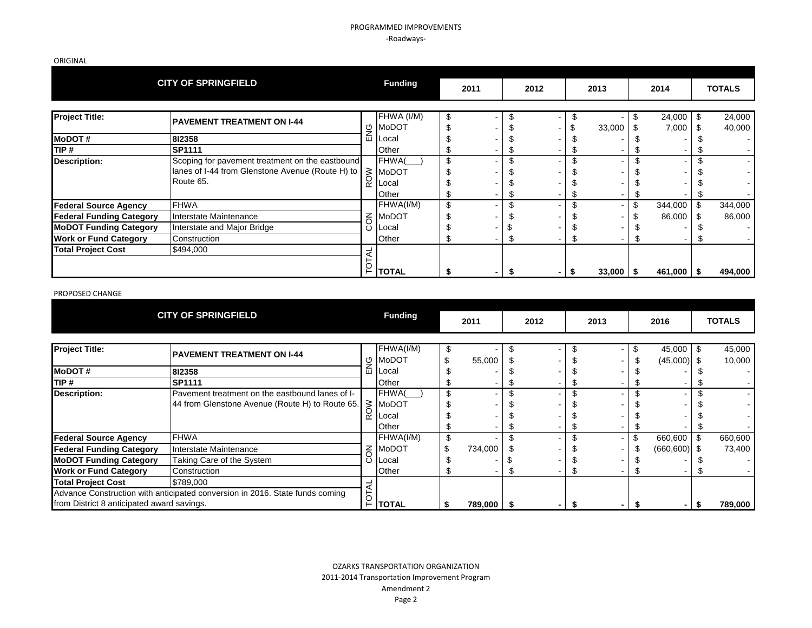### PROGRAMMED IMPROVEMENTS -Roadways-

ORIGINAL

|                                 | <b>CITY OF SPRINGFIELD</b>                                                                                       |                | <b>Funding</b>                        | 2011 | 2012     |                          |         | 2013          | 2014                  | <b>TOTALS</b>          |
|---------------------------------|------------------------------------------------------------------------------------------------------------------|----------------|---------------------------------------|------|----------|--------------------------|---------|---------------|-----------------------|------------------------|
| <b>Project Title:</b>           | <b>PAVEMENT TREATMENT ON I-44</b>                                                                                | ENG            | FHWA (I/M)<br><b>MoDOT</b>            | \$   | \$       | -                        | \$      | 33,000        | \$<br>24,000<br>7,000 | \$<br>24,000<br>40,000 |
| <b>MoDOT#</b>                   | 812358                                                                                                           |                | Local                                 |      |          |                          |         |               |                       |                        |
| TIP #                           | <b>SP1111</b>                                                                                                    |                | Other                                 |      | £        | $\blacksquare$           | Æ       |               |                       |                        |
| <b>Description:</b>             | Scoping for pavement treatment on the eastbound<br>lanes of I-44 from Glenstone Avenue (Route H) to<br>Route 65. |                | FHWA(<br>$\frac{2}{5}$ MoDOT<br>Other | \$   | \$<br>\$ | -<br>-<br>$\blacksquare$ | \$<br>Æ |               |                       |                        |
| <b>Federal Source Agency</b>    | <b>FHWA</b>                                                                                                      |                | FHWA(I/M)                             | \$   | \$       | $\blacksquare$           | \$      |               | \$<br>344,000         | 344,000                |
| <b>Federal Funding Category</b> | Interstate Maintenance                                                                                           |                | <b>MoDOT</b>                          |      |          | -                        |         |               | 86,000                | 86,000                 |
| <b>MoDOT Funding Category</b>   | Interstate and Major Bridge                                                                                      | <b>NCC</b>     | Local                                 |      |          | $\blacksquare$           |         |               |                       |                        |
| <b>Work or Fund Category</b>    | Construction                                                                                                     |                | Other                                 |      | \$       | Ξ.                       |         |               |                       |                        |
| <b>Total Project Cost</b>       | \$494,000                                                                                                        | <b>TOTAL</b>   | <b>TOTAL</b>                          | S    | \$       | $\overline{\phantom{a}}$ | - \$    | $33,000$   \$ | $461,000$ \ \$        | 494,000                |
| PROPOSED CHANGE                 |                                                                                                                  |                |                                       |      |          |                          |         |               |                       |                        |
| <b>CITY OF SPRINGFIELD</b>      |                                                                                                                  | <b>Funding</b> | 2011                                  | 2012 |          |                          | 2013    | 2016          | <b>TOTALS</b>         |                        |

#### PROPOSED CHANGE

|                                                                                                                                  | <b>CITY OF SPRINGFIELD</b>                                                                                                              |                     | <b>Funding</b>                                       | 2011       | 2012 |    | 2013 | 2016                       |   | <b>TOTALS</b>     |
|----------------------------------------------------------------------------------------------------------------------------------|-----------------------------------------------------------------------------------------------------------------------------------------|---------------------|------------------------------------------------------|------------|------|----|------|----------------------------|---|-------------------|
| <b>Project Title:</b>                                                                                                            | <b>PAVEMENT TREATMENT ON I-44</b>                                                                                                       | ु                   | FHWA(I/M)<br>MoDOT                                   | 55,000     |      | S  |      | 45,000<br>$(45,000)$ \$    |   | 45,000<br>10,000  |
| <b>MoDOT#</b><br>ITIP #                                                                                                          | 812358<br><b>SP1111</b>                                                                                                                 | 面                   | Local<br>Other                                       |            |      |    |      |                            |   |                   |
| <b>Description:</b>                                                                                                              | Pavement treatment on the eastbound lanes of I-<br>44 from Glenstone Avenue (Route H) to Route 65.                                      | ROW                 | <b>FHWA</b><br><b>MoDOT</b><br><b>Local</b><br>Other |            |      |    |      |                            |   |                   |
| <b>Federal Source Agency</b><br><b>Federal Funding Category</b><br><b>MoDOT Funding Category</b><br><b>Work or Fund Category</b> | <b>FHWA</b><br>Interstate Maintenance<br>Taking Care of the System<br>Construction                                                      | $\overline{6}$<br>ပ | FHWA(I/M)<br><b>MoDOT</b><br>Local<br>Other          | 734,000    |      |    |      | 660,600<br>$(660, 600)$ \$ |   | 660,600<br>73.400 |
| <b>Total Project Cost</b>                                                                                                        | \$789,000<br>Advance Construction with anticipated conversion in 2016. State funds coming<br>from District 8 anticipated award savings. |                     | TOTAL                                                | 789,000 \$ |      | -5 |      |                            | S | 789,000           |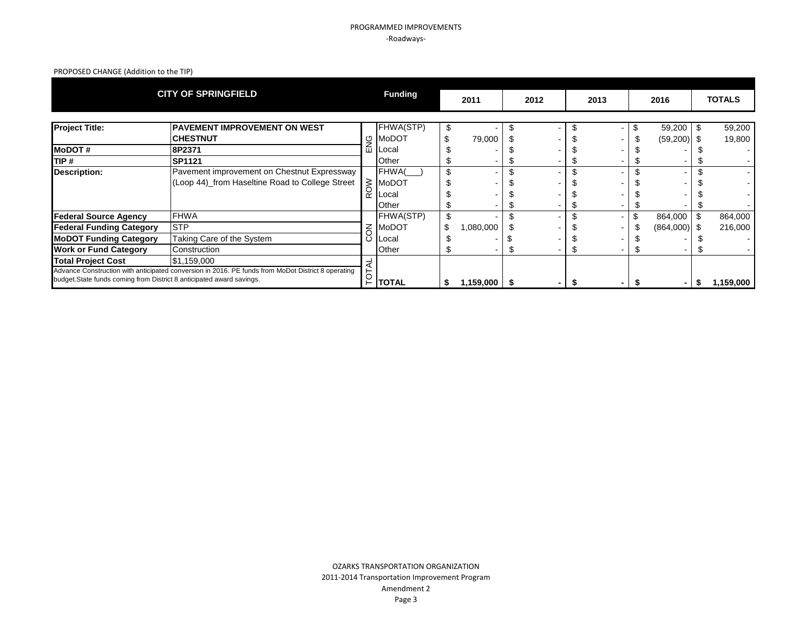## PROGRAMMED IMPROVEMENTS -Roadways-

# PROPOSED CHANGE (Addition to the TIP)

|                                                                       | <b>CITY OF SPRINGFIELD</b>                                                                         |                | <b>Funding</b>    | 2011         | 2012 | 2013 | 2016           |    | <b>TOTALS</b> |
|-----------------------------------------------------------------------|----------------------------------------------------------------------------------------------------|----------------|-------------------|--------------|------|------|----------------|----|---------------|
| <b>Project Title:</b>                                                 | <b>PAVEMENT IMPROVEMENT ON WEST</b>                                                                |                | <b>FHWA(STP)</b>  |              |      |      | 59,200         |    | 59,200        |
|                                                                       | <b>CHESTNUT</b>                                                                                    | O              | MoDOT             | 79,000       |      |      | $(59,200)$ \$  |    | 19,800        |
| <b>MoDOT#</b>                                                         | 8P2371                                                                                             | 屲              | _ocal             |              |      |      |                |    |               |
| TIP #                                                                 | <b>SP1121</b>                                                                                      |                | Other             |              |      |      |                |    |               |
| <b>Description:</b>                                                   | Pavement improvement on Chestnut Expressway                                                        |                | FHWA <sub>(</sub> |              |      |      |                |    |               |
|                                                                       | (Loop 44)_from Haseltine Road to College Street                                                    | $\geq$         | <b>MoDOT</b>      |              |      |      |                |    |               |
|                                                                       |                                                                                                    | $\alpha$       | Local             |              |      |      |                |    |               |
|                                                                       |                                                                                                    |                | Other             |              |      |      |                |    |               |
| <b>Federal Source Agency</b>                                          | <b>FHWA</b>                                                                                        |                | <b>FHWA(STP)</b>  |              |      |      | 864,000        | \$ | 864,000       |
| <b>Federal Funding Category</b>                                       | <b>STP</b>                                                                                         | $\overline{6}$ | MoDOT             | 000,080,1    |      |      | $(864,000)$ \$ |    | 216,000       |
| <b>MoDOT Funding Category</b>                                         | Taking Care of the System                                                                          | ပ              | Local             |              |      |      |                |    |               |
| <b>Work or Fund Category</b>                                          | Construction                                                                                       |                | Other             |              |      |      |                |    |               |
| <b>Total Project Cost</b>                                             | \$1,159,000                                                                                        |                |                   |              |      |      |                |    |               |
|                                                                       | Advance Construction with anticipated conversion in 2016. PE funds from MoDot District 8 operating |                |                   |              |      |      |                |    |               |
| budget. State funds coming from District 8 anticipated award savings. |                                                                                                    | p              | TOTAL             | 1,159,000 \$ |      |      |                | Ж  | 1,159,000     |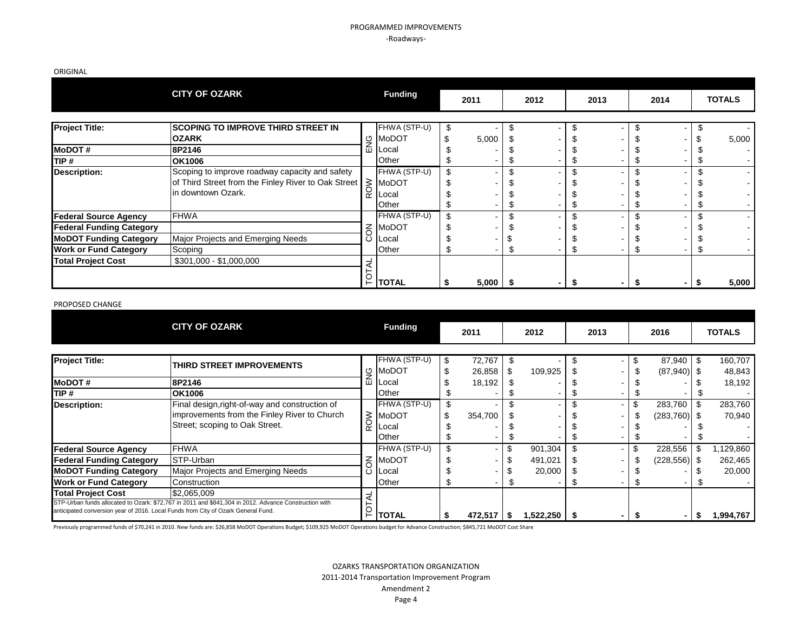### PROGRAMMED IMPROVEMENTS -Roadways-

ORIGINAL

|                                 | <b>CITY OF OZARK</b>                                |     | <b>Funding</b>      | 2011  |      | 2012 | 2013 | 2014 | <b>TOTALS</b> |
|---------------------------------|-----------------------------------------------------|-----|---------------------|-------|------|------|------|------|---------------|
|                                 |                                                     |     |                     |       |      |      |      |      |               |
| <b>Project Title:</b>           | <b>SCOPING TO IMPROVE THIRD STREET IN</b>           |     | FHWA (STP-U)        |       |      |      |      |      |               |
|                                 | <b>OZARK</b>                                        | ୍ରୁ | MoDOT               | 5,000 |      |      |      |      | 5,000         |
| <b>MoDOT#</b>                   | 8P2146                                              | 血   | <b>Local</b>        |       |      |      |      |      |               |
| TIP #                           | <b>OK1006</b>                                       |     | Other               |       |      |      |      |      |               |
| <b>Description:</b>             | Scoping to improve roadway capacity and safety      |     | FHWA (STP-U)        |       |      |      |      |      |               |
|                                 | of Third Street from the Finley River to Oak Street |     |                     |       |      |      |      |      |               |
|                                 | lin downtown Ozark.                                 |     | $\frac{1}{2}$ MoDOT |       |      |      |      |      |               |
|                                 |                                                     |     | Other               |       |      |      |      |      |               |
| <b>Federal Source Agency</b>    | <b>FHWA</b>                                         |     | FHWA (STP-U)        |       |      |      |      |      |               |
| <b>Federal Funding Category</b> |                                                     | 중   | MoDOT               |       |      |      |      |      |               |
| <b>MoDOT Funding Category</b>   | Major Projects and Emerging Needs                   | ပ   | Local               |       |      |      |      |      |               |
| <b>Work or Fund Category</b>    | Scoping                                             |     | Other               |       |      |      |      |      |               |
| <b>Total Project Cost</b>       | \$301,000 - \$1,000,000                             |     |                     |       |      |      |      |      |               |
|                                 |                                                     |     |                     |       |      |      |      |      |               |
|                                 |                                                     |     | $\frac{5}{5}$ total | 5,000 | - 35 |      |      |      | 5,000         |

#### PROPOSED CHANGE

|                                                                                                                | <b>CITY OF OZARK</b>                                                                                                             |            | <b>Funding</b>                                 |          | 2011             |    | 2012           |    | 2013 |    | 2016                             |   | <b>TOTALS</b>     |
|----------------------------------------------------------------------------------------------------------------|----------------------------------------------------------------------------------------------------------------------------------|------------|------------------------------------------------|----------|------------------|----|----------------|----|------|----|----------------------------------|---|-------------------|
| <b>Project Title:</b>                                                                                          | THIRD STREET IMPROVEMENTS                                                                                                        | ु          | FHWA (STP-U)<br><b>MoDOT</b>                   | \$<br>\$ | 72,767<br>26,858 |    | 109,925        | S  |      | £. | $87,940$ \$<br>$(87,940)$ \$     |   | 160,707<br>48,843 |
| <b>MoDOT#</b>                                                                                                  | 8P2146                                                                                                                           | ш          | <b>Local</b>                                   |          | 18,192           |    |                |    |      |    |                                  |   | 18,192            |
| <b>TIP</b> #                                                                                                   | <b>OK1006</b>                                                                                                                    |            | Other                                          |          |                  |    |                |    |      |    |                                  |   |                   |
| Description:                                                                                                   | Final design, right-of-way and construction of<br>improvements from the Finley River to Church<br>Street; scoping to Oak Street. | <b>ROW</b> | FHWA (STP-U)<br><b>MoDOT</b><br>Local<br>Other | \$       | 354,700          |    |                |    |      |    | $283,760$ \ \$<br>$(283,760)$ \$ |   | 283,760<br>70,940 |
| <b>Federal Source Agency</b>                                                                                   | <b>FHWA</b>                                                                                                                      |            | FHWA (STP-U)                                   |          |                  |    | 901,304        | \$ |      |    | 228,556                          | £ | 1,129,860         |
| <b>Federal Funding Category</b>                                                                                | <b>STP-Urban</b>                                                                                                                 | 중          | MoDOT                                          |          |                  |    | 491,021        |    |      |    | $(228, 556)$ \$                  |   | 262,465           |
| <b>MoDOT Funding Category</b>                                                                                  | Major Projects and Emerging Needs                                                                                                | ပ          | Local                                          |          |                  |    | 20,000         |    |      |    |                                  |   | 20,000            |
| <b>Work or Fund Category</b>                                                                                   | Construction                                                                                                                     |            | Other                                          |          |                  | J. |                |    |      |    |                                  |   |                   |
| <b>Total Project Cost</b><br>anticipated conversion year of 2016. Local Funds from City of Ozark General Fund. | \$2,065,009<br>STP-Urban funds allocated to Ozark: \$72,767 in 2011 and \$841,304 in 2012. Advance Construction with             | p          | TOTAL                                          |          | $472,517$ \$     |    | $1,522,250$ \$ |    |      |    |                                  |   | 1,994,767         |

Previously programmed funds of \$70,241 in 2010. New funds are: \$26,858 MoDOT Operations Budget; \$109,925 MoDOT Operations budget for Advance Construction; \$845,721 MoDOT Cost Share

OZARKS TRANSPORTATION ORGANIZATION 2011-2014 Transportation Improvement Program Amendment 2 Page 4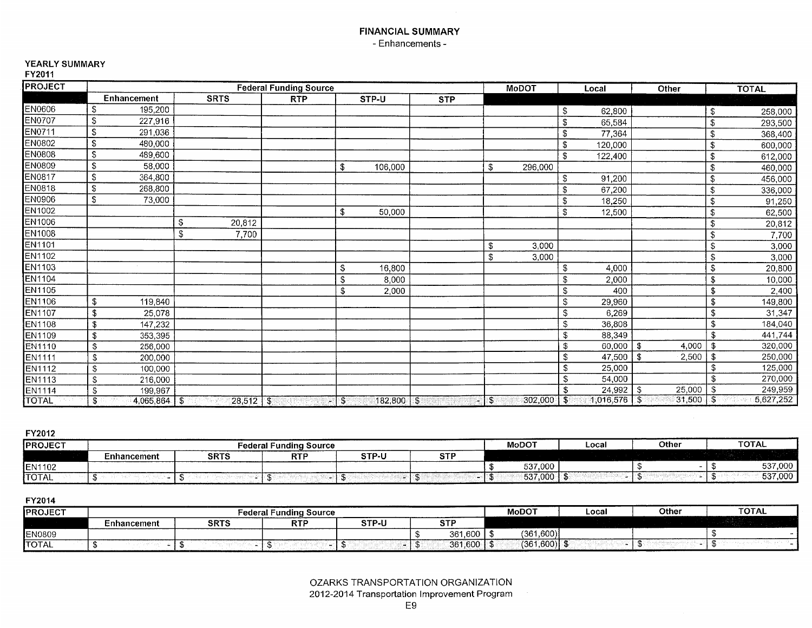# **FINANCIAL SUMMARY** - Enhancements -

# YEARLY SUMMARY

FY2011

| <b>PROJECT</b> |                       |              | <b>Federal Funding Source</b> |                               |            |               | <b>MoDOT</b>         |                           | Local                  | Other                   |    | <b>TOTAL</b> |
|----------------|-----------------------|--------------|-------------------------------|-------------------------------|------------|---------------|----------------------|---------------------------|------------------------|-------------------------|----|--------------|
|                | Enhancement           | <b>SRTS</b>  | <b>RTP</b>                    | STP-U                         | <b>STP</b> |               |                      |                           |                        |                         |    |              |
| EN0606         | \$<br>195,200         |              |                               |                               |            |               |                      | $\sqrt{2}$                | 62,800                 |                         | \$ | 258,000      |
| <b>EN0707</b>  | \$<br>227,916         |              |                               |                               |            |               |                      | \$                        | 65,584                 |                         | \$ | 293,500      |
| EN0711         | \$<br>291,036         |              |                               |                               |            |               |                      | \$                        | 77,364                 |                         | \$ | 368,400      |
| EN0802         | \$<br>480,000         |              |                               |                               |            |               |                      | \$                        | 120,000                |                         | \$ | 600,000      |
| <b>EN0808</b>  | \$<br>489,600         |              |                               |                               |            |               |                      | S.                        | 122,400                |                         | \$ | 612,000      |
| EN0809         | \$<br>58,000          |              |                               | 106,000<br>\$                 |            | \$            | 296,000              |                           |                        |                         | \$ | 460,000      |
| <b>EN0817</b>  | \$<br>364,800         |              |                               |                               |            |               |                      | \$                        | 91,200                 |                         | \$ | 456,000      |
| EN0818         | S<br>268,800          |              |                               |                               |            |               |                      | \$                        | 67,200                 |                         | \$ | 336,000      |
| EN0906         | \$<br>73,000          |              |                               |                               |            |               |                      | \$                        | 18,250                 |                         | \$ | 91,250       |
| EN1002         |                       |              |                               | 50,000<br>\$                  |            |               |                      | \$                        | 12,500                 |                         | \$ | 62,500       |
| EN1006         |                       | \$<br>20,812 |                               |                               |            |               |                      |                           |                        |                         | \$ | 20,812       |
| <b>EN1008</b>  |                       | \$<br>7,700  |                               |                               |            |               |                      |                           |                        |                         | \$ | 7,700        |
| EN1101         |                       |              |                               |                               |            | \$            | 3,000                |                           |                        |                         | \$ | 3,000        |
| EN1102         |                       |              |                               |                               |            | \$            | 3,000                |                           |                        |                         | \$ | 3,000        |
| EN1103         |                       |              |                               | <b>S</b><br>16,800            |            |               |                      | \$                        | 4,000                  |                         | S  | 20,800       |
| <b>EN1104</b>  |                       |              |                               | S.<br>8,000                   |            |               |                      | \$                        | 2,000                  |                         | \$ | 10,000       |
| <b>EN1105</b>  |                       |              |                               | \$<br>2,000                   |            |               |                      | \$                        | 400                    |                         | \$ | 2,400        |
| <b>EN1106</b>  | \$<br>119,840         |              |                               |                               |            |               |                      | \$                        | 29,960                 |                         | \$ | 149,800      |
| <b>EN1107</b>  | \$<br>25,078          |              |                               |                               |            |               |                      | $\sqrt{2}$                | 6,269                  |                         | \$ | 31,347       |
| <b>EN1108</b>  | 147,232<br>\$         |              |                               |                               |            |               |                      | \$                        | 36,808                 |                         | \$ | 184,040      |
| <b>EN1109</b>  | \$<br>353,395         |              |                               |                               |            |               |                      | $\mathfrak{F}$            | 88,349                 |                         | \$ | 441,744      |
| <b>EN1110</b>  | \$<br>256,000         |              |                               |                               |            |               |                      | $\overline{\mathcal{L}}$  | 60,000                 | \$<br>4,000             |    | 320,000      |
| <b>EN1111</b>  | \$<br>200,000         |              |                               |                               |            |               |                      | \$                        | 47,500                 | \$<br>2,500             | \$ | 250,000      |
| <b>EN1112</b>  | \$<br>100,000         |              |                               |                               |            |               |                      | $\overline{\$}$           | 25,000                 |                         | \$ | 125,000      |
| <b>EN1113</b>  | \$<br>216,000         |              |                               |                               |            |               |                      | $\boldsymbol{\mathsf{s}}$ | 54,000                 |                         | \$ | 270,000      |
| <b>EN1114</b>  | \$<br>199,967         |              |                               |                               |            |               |                      | \$                        | 24,992                 | 25,000<br>$\mathcal{F}$ | \$ | 249,959      |
| <b>TOTAL</b>   | $4,065,864$ \$<br>\$. | $28,512$ \$  |                               | $182,800$ $\sqrt{3}$<br>$-13$ | ×          | $\mathbf{\$}$ | $302,000$ $\sqrt{5}$ |                           | $1,016,576$ $\sqrt{$}$ | $31,500$ $5$            |    | 5,627,252    |

FY2012

| <b>IPROJECT</b> |             |             | <b>Federal Funding Source</b> |              |           | <b>MoDOT</b> | ∟ocal | Other | <b>TOTAL</b> |
|-----------------|-------------|-------------|-------------------------------|--------------|-----------|--------------|-------|-------|--------------|
|                 | Enhancement | <b>SRTS</b> | <b>RTI</b>                    | <b>STP-L</b> | $\sim$ TD |              |       |       |              |
| EN1102          |             |             |                               |              |           | 537,000      |       |       | 537,000      |
| <b>TOTAL</b>    |             |             |                               |              |           | 537,000      |       |       | 537,000      |

| <b>IPROJECT</b> |             |             | Federal Funding Source |       |             | <b>MoDOT</b> | Local | Other | <b>TOTAL</b> |
|-----------------|-------------|-------------|------------------------|-------|-------------|--------------|-------|-------|--------------|
|                 | Enhancement | <b>SRTS</b> | <b>RTF</b>             | STP-U | $-$         |              |       |       |              |
| <b>EN0809</b>   |             |             |                        |       | 361,600     | (361.600)    |       |       |              |
| <b>TOTAL</b>    |             |             |                        |       | .600<br>361 | (361, 600)   |       |       |              |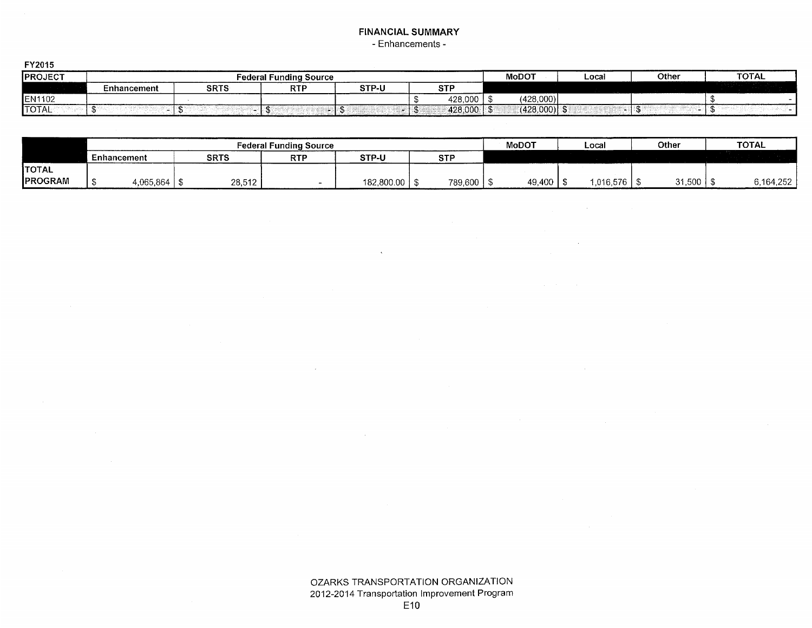# **FINANCIAL SUMMARY** - Enhancements -

| .              |                    |             |                    |       |            |                        |                          |       |              |
|----------------|--------------------|-------------|--------------------|-------|------------|------------------------|--------------------------|-------|--------------|
| <b>PROJECT</b> |                    | ∹ederal     | Fundina<br>∍Source |       |            | <b>MoDOT</b>           | Local                    | Other | <b>TOTAL</b> |
|                | <b>Enhancement</b> | <b>SRTS</b> | DTD<br>κı.         | STP-U | <b>CTD</b> |                        |                          |       |              |
| EN1102         |                    |             |                    |       | 428,000    | (428,000)              |                          |       |              |
| <b>TOTAL</b>   |                    |             |                    |       | 428,000    | $(428,000)$ \ \;<br>三群 | $\overline{\phantom{a}}$ |       |              |

|                |             |                |             | <b>Federal Funding Source</b> |            |            | <b>MoDOT</b> | Local       | Other    | <b>TOTAL</b> |
|----------------|-------------|----------------|-------------|-------------------------------|------------|------------|--------------|-------------|----------|--------------|
|                | Enhancement |                | <b>SRTS</b> | <b>RTF</b>                    | STP-U      | <b>STP</b> |              |             |          |              |
| <b>TOTAL</b>   |             |                |             |                               |            |            |              |             |          |              |
| <b>PROGRAM</b> |             | 4,065,864   \$ | 28,512      |                               | 182,800.00 | 789,600    | 49,400       | ∣ 016,576,، | $31,500$ | 6.164.252    |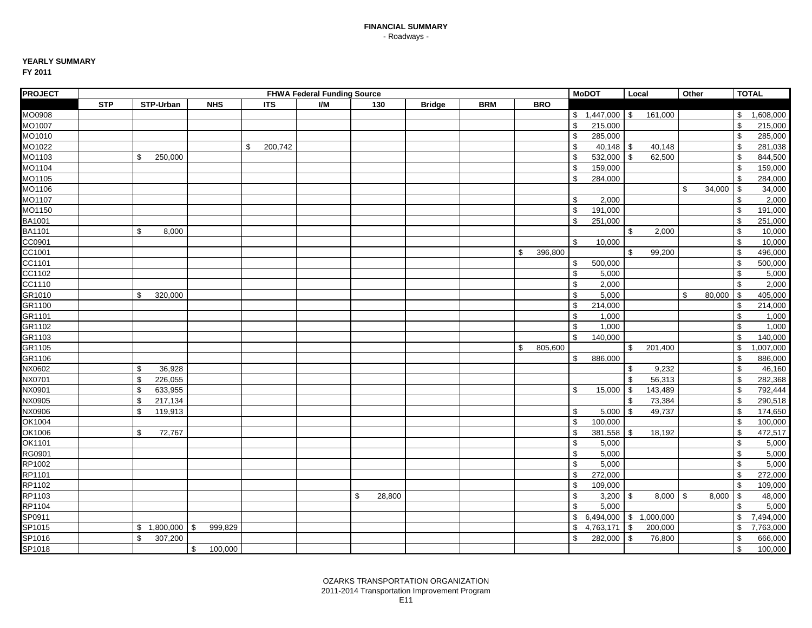## **YEARLY SUMMARY**

| <b>PROJECT</b>     |            |                 |                |               | <b>FHWA Federal Funding Source</b> |              |               |            |               |               | <b>MoDOT</b>      | Local      |              | Other                   |        |               | <b>TOTAL</b> |
|--------------------|------------|-----------------|----------------|---------------|------------------------------------|--------------|---------------|------------|---------------|---------------|-------------------|------------|--------------|-------------------------|--------|---------------|--------------|
|                    | <b>STP</b> | STP-Urban       | <b>NHS</b>     | <b>ITS</b>    | I/M                                | 130          | <b>Bridge</b> | <b>BRM</b> | <b>BRO</b>    |               |                   |            |              |                         |        |               |              |
| MO0908             |            |                 |                |               |                                    |              |               |            |               |               | $$1,447,000$ \ \$ |            | 161,000      |                         |        |               | \$1,608,000  |
| MO1007             |            |                 |                |               |                                    |              |               |            |               | $\mathbb{S}$  | 215,000           |            |              |                         |        | \$            | 215,000      |
| MO1010             |            |                 |                |               |                                    |              |               |            |               | \$            | 285,000           |            |              |                         |        | \$            | 285,000      |
| MO1022             |            |                 |                | \$<br>200,742 |                                    |              |               |            |               | \$            | $40,148$ \$       |            | 40,148       |                         |        | \$            | 281,038      |
| MO1103             |            | \$<br>250,000   |                |               |                                    |              |               |            |               | \$            | 532,000           | $\sqrt{3}$ | 62,500       |                         |        | \$            | 844,500      |
| MO1104             |            |                 |                |               |                                    |              |               |            |               | \$            | 159,000           |            |              |                         |        | \$            | 159,000      |
| MO1105             |            |                 |                |               |                                    |              |               |            |               | \$            | 284,000           |            |              |                         |        | \$            | 284,000      |
| MO1106             |            |                 |                |               |                                    |              |               |            |               |               |                   |            |              | \$                      | 34,000 | \$            | 34,000       |
| MO <sub>1107</sub> |            |                 |                |               |                                    |              |               |            |               | \$            | 2,000             |            |              |                         |        | $\mathbf{s}$  | 2,000        |
| MO <sub>1150</sub> |            |                 |                |               |                                    |              |               |            |               | \$            | 191,000           |            |              |                         |        | \$            | 191,000      |
|                    |            |                 |                |               |                                    |              |               |            |               | \$            | 251,000           |            |              |                         |        | \$            | 251,000      |
| BA1001<br>BA1101   |            | \$<br>8,000     |                |               |                                    |              |               |            |               |               |                   | \$         | 2,000        |                         |        | \$            | 10,000       |
| CC0901             |            |                 |                |               |                                    |              |               |            |               | \$            | 10,000            |            |              |                         |        | \$            | 10,000       |
| CC1001             |            |                 |                |               |                                    |              |               |            | \$<br>396,800 |               |                   | \$         | 99,200       |                         |        | \$            | 496,000      |
| CC1101             |            |                 |                |               |                                    |              |               |            |               | \$            | 500,000           |            |              |                         |        | \$            | 500,000      |
| CC1102             |            |                 |                |               |                                    |              |               |            |               | \$            | 5,000             |            |              |                         |        | \$            | 5,000        |
| CC1110             |            |                 |                |               |                                    |              |               |            |               | \$            | 2,000             |            |              |                         |        | \$            | 2,000        |
| GR1010             |            | \$<br>320,000   |                |               |                                    |              |               |            |               | $\mathfrak s$ | 5,000             |            |              | \$                      | 80,000 | $\mathfrak s$ | 405,000      |
| GR1100             |            |                 |                |               |                                    |              |               |            |               | \$            | 214,000           |            |              |                         |        | \$            | 214,000      |
| GR1101             |            |                 |                |               |                                    |              |               |            |               | \$            | 1,000             |            |              |                         |        | \$            | 1,000        |
| GR1102             |            |                 |                |               |                                    |              |               |            |               | $\mathfrak s$ | 1,000             |            |              |                         |        | \$            | 1,000        |
| GR1103             |            |                 |                |               |                                    |              |               |            |               | $\mathfrak s$ | 140,000           |            |              |                         |        | \$            | 140,000      |
| GR1105             |            |                 |                |               |                                    |              |               |            | \$<br>805,600 |               |                   | \$         | 201,400      |                         |        | \$            | 1,007,000    |
| GR1106             |            |                 |                |               |                                    |              |               |            |               | \$            | 886,000           |            |              |                         |        | \$            | 886,000      |
| NX0602             |            | \$<br>36,928    |                |               |                                    |              |               |            |               |               |                   | \$         | 9,232        |                         |        | \$            | 46,160       |
| NX0701             |            | \$<br>226,055   |                |               |                                    |              |               |            |               |               |                   | \$         | 56,313       |                         |        | \$            | 282,368      |
| NX0901             |            | \$<br>633,955   |                |               |                                    |              |               |            |               | \$            | 15,000            | -\$        | 143,489      |                         |        | \$            | 792,444      |
| NX0905             |            | \$<br>217,134   |                |               |                                    |              |               |            |               |               |                   | \$         | 73,384       |                         |        | \$            | 290,518      |
| NX0906             |            | \$<br>119,913   |                |               |                                    |              |               |            |               | \$            | 5,000             | $\sqrt{3}$ | 49,737       |                         |        | \$            | 174,650      |
| OK1004             |            |                 |                |               |                                    |              |               |            |               | \$            | 100,000           |            |              |                         |        | \$            | 100,000      |
| OK1006             |            | \$<br>72,767    |                |               |                                    |              |               |            |               | \$            | 381,558           | <b>S</b>   | 18,192       |                         |        | \$            | 472,517      |
| OK1101             |            |                 |                |               |                                    |              |               |            |               | \$            | 5,000             |            |              |                         |        | \$            | 5,000        |
| RG0901             |            |                 |                |               |                                    |              |               |            |               | $\mathfrak s$ | 5,000             |            |              |                         |        | \$            | 5,000        |
| RP1002             |            |                 |                |               |                                    |              |               |            |               | \$            | 5,000             |            |              |                         |        | \$            | 5,000        |
| RP1101             |            |                 |                |               |                                    |              |               |            |               | \$            | 272,000           |            |              |                         |        | \$            | 272,000      |
| RP1102             |            |                 |                |               |                                    |              |               |            |               | \$            | 109,000           |            |              |                         |        | \$            | 109,000      |
| RP1103             |            |                 |                |               |                                    | \$<br>28,800 |               |            |               | \$            | 3,200             | l \$       | 8,000        | $\sqrt[6]{\frac{1}{2}}$ | 8,000  | $\mathfrak s$ | 48,000       |
| RP1104             |            |                 |                |               |                                    |              |               |            |               | \$            | 5,000             |            |              |                         |        | \$            | 5,000        |
| SP0911             |            |                 |                |               |                                    |              |               |            |               | \$            | 6,494,000         |            | \$ 1,000,000 |                         |        | \$            | 7,494,000    |
| SP1015             |            | \$<br>1,800,000 | 999,829<br>-\$ |               |                                    |              |               |            |               | \$            | 4,763,171         | -\$        | 200,000      |                         |        | \$            | 7,763,000    |
| SP1016             |            | \$<br>307,200   |                |               |                                    |              |               |            |               | \$            | 282,000           | $\sqrt{3}$ | 76,800       |                         |        | \$            | 666,000      |
| SP1018             |            |                 | \$<br>100,000  |               |                                    |              |               |            |               |               |                   |            |              |                         |        | $\mathbb{S}$  | 100,000      |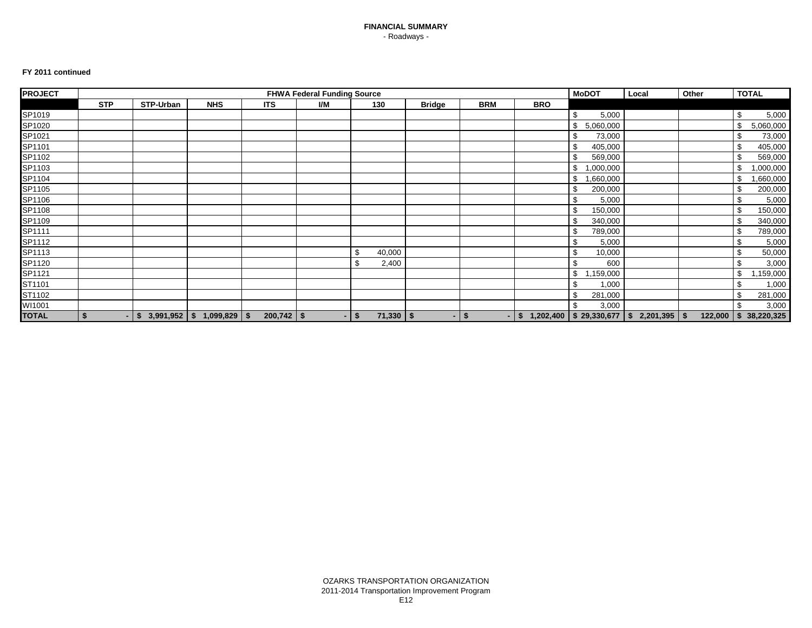#### **FY 2011 continued**

| <b>PROJECT</b> |            |            |                                 |              | <b>FHWA Federal Funding Source</b> |                      |               | <b>MoDOT</b>           | Local      | Other                                           | <b>TOTAL</b> |  |                         |
|----------------|------------|------------|---------------------------------|--------------|------------------------------------|----------------------|---------------|------------------------|------------|-------------------------------------------------|--------------|--|-------------------------|
|                | <b>STP</b> | STP-Urban  | <b>NHS</b>                      | <b>ITS</b>   | I/M                                | 130                  | <b>Bridge</b> | <b>BRM</b>             | <b>BRO</b> |                                                 |              |  |                         |
| SP1019         |            |            |                                 |              |                                    |                      |               |                        |            | \$<br>5,000                                     |              |  | \$<br>5,000             |
| SP1020         |            |            |                                 |              |                                    |                      |               |                        |            | 5,060,000<br>\$                                 |              |  | 5,060,000<br>\$         |
| SP1021         |            |            |                                 |              |                                    |                      |               |                        |            | 73,000                                          |              |  | 73,000                  |
| SP1101         |            |            |                                 |              |                                    |                      |               |                        |            | 405,000<br>\$                                   |              |  | 405,000                 |
| SP1102         |            |            |                                 |              |                                    |                      |               |                        |            | 569,000                                         |              |  | 569,000                 |
| SP1103         |            |            |                                 |              |                                    |                      |               |                        |            | ,000,000<br>\$                                  |              |  | ,000,000                |
| SP1104         |            |            |                                 |              |                                    |                      |               |                        |            | ,660,000<br>\$                                  |              |  | ,660,000                |
| SP1105         |            |            |                                 |              |                                    |                      |               |                        |            | 200,000                                         |              |  | 200,000                 |
| SP1106         |            |            |                                 |              |                                    |                      |               |                        |            | 5,000<br>\$.                                    |              |  | 5,000<br>\$             |
| SP1108         |            |            |                                 |              |                                    |                      |               |                        |            | 150,000<br>£.                                   |              |  | 150,000                 |
| SP1109         |            |            |                                 |              |                                    |                      |               |                        |            | 340,000                                         |              |  | 340,000                 |
| SP1111         |            |            |                                 |              |                                    |                      |               |                        |            | 789,000<br>ď.                                   |              |  | 789,000                 |
| SP1112         |            |            |                                 |              |                                    |                      |               |                        |            | 5,000                                           |              |  | 5,000                   |
| SP1113         |            |            |                                 |              |                                    | -\$<br>40,000        |               |                        |            | 10,000                                          |              |  | 50,000                  |
| SP1120         |            |            |                                 |              |                                    | \$<br>2,400          |               |                        |            | \$<br>600                                       |              |  | 3,000<br>\$             |
| SP1121         |            |            |                                 |              |                                    |                      |               |                        |            | ,159,000<br>\$                                  |              |  | ,159,000<br>\$          |
| ST1101         |            |            |                                 |              |                                    |                      |               |                        |            | 1,000                                           |              |  | 1,000                   |
| ST1102         |            |            |                                 |              |                                    |                      |               |                        |            | 281,000<br>\$                                   |              |  | 281,000                 |
| WI1001         |            |            |                                 |              |                                    |                      |               |                        |            | 3,000<br>\$                                     |              |  | 3,000                   |
| <b>TOTAL</b>   | - 5        | \$<br>- 11 | $3,991,952$   \$ 1,099,829   \$ | $200,742$ \$ | $\sim$                             | $71,330$   \$<br>-\$ | ٠             | - \$<br>$\blacksquare$ | \$         | $1,202,400$   \$ 29,330,677   \$ 2,201,395   \$ |              |  | 122,000   \$ 38,220,325 |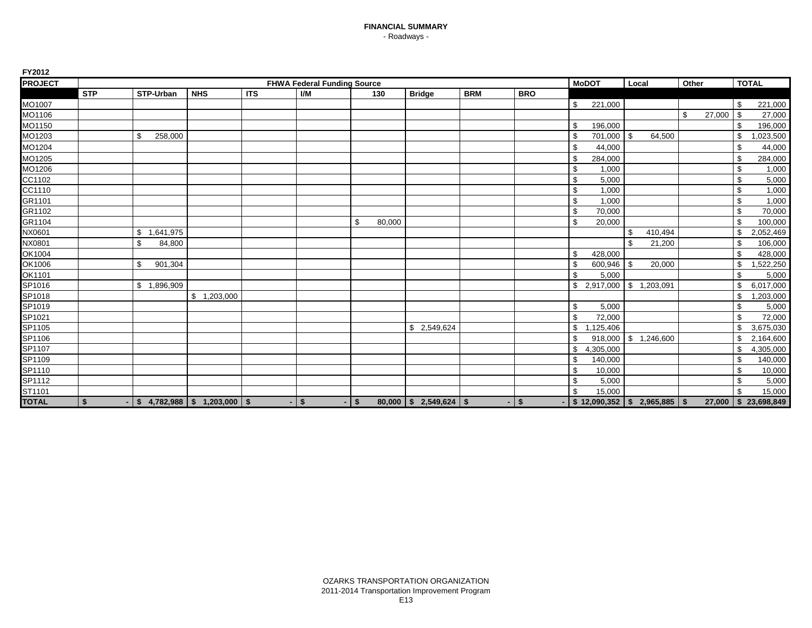| <b>PROJECT</b>     |            |                 |                                     |            | <b>FHWA Federal Funding Source</b> |              |                          |            |            |     | <b>MoDOT</b>                         | Local      |             | Other |        | <b>TOTAL</b>    |
|--------------------|------------|-----------------|-------------------------------------|------------|------------------------------------|--------------|--------------------------|------------|------------|-----|--------------------------------------|------------|-------------|-------|--------|-----------------|
|                    | <b>STP</b> | STP-Urban       | <b>NHS</b>                          | <b>ITS</b> | I/M                                | 130          | <b>Bridge</b>            | <b>BRM</b> | <b>BRO</b> |     |                                      |            |             |       |        |                 |
| MO1007             |            |                 |                                     |            |                                    |              |                          |            |            | \$  | 221,000                              |            |             |       |        | \$<br>221,000   |
| MO1106             |            |                 |                                     |            |                                    |              |                          |            |            |     |                                      |            |             | \$    | 27,000 | \$<br>27,000    |
| MO <sub>1150</sub> |            |                 |                                     |            |                                    |              |                          |            |            | \$  | 196,000                              |            |             |       |        | \$<br>196,000   |
| MO1203             |            | 258,000<br>\$   |                                     |            |                                    |              |                          |            |            |     | 701,000                              | $\sqrt{3}$ | 64,500      |       |        | \$<br>,023,500  |
| MO1204             |            |                 |                                     |            |                                    |              |                          |            |            | \$  | 44,000                               |            |             |       |        | \$<br>44,000    |
| MO <sub>1205</sub> |            |                 |                                     |            |                                    |              |                          |            |            | \$  | 284,000                              |            |             |       |        | \$<br>284,000   |
| MO1206             |            |                 |                                     |            |                                    |              |                          |            |            | \$  | 1,000                                |            |             |       |        | \$<br>1,000     |
| CC1102             |            |                 |                                     |            |                                    |              |                          |            |            | \$  | 5,000                                |            |             |       |        | \$<br>5,000     |
| CC1110             |            |                 |                                     |            |                                    |              |                          |            |            | \$  | 1,000                                |            |             |       |        | \$<br>1,000     |
| GR1101             |            |                 |                                     |            |                                    |              |                          |            |            | \$  | 1,000                                |            |             |       |        | \$<br>1,000     |
| GR1102             |            |                 |                                     |            |                                    |              |                          |            |            | \$  | 70,000                               |            |             |       |        | \$<br>70,000    |
| GR1104             |            |                 |                                     |            |                                    | \$<br>80,000 |                          |            |            | \$  | 20,000                               |            |             |       |        | \$<br>100,000   |
| NX0601             |            | \$<br>1,641,975 |                                     |            |                                    |              |                          |            |            |     |                                      | \$         | 410,494     |       |        | \$<br>2,052,469 |
| NX0801             |            | \$<br>84,800    |                                     |            |                                    |              |                          |            |            |     |                                      | \$         | 21,200      |       |        | \$<br>106,000   |
| OK1004             |            |                 |                                     |            |                                    |              |                          |            |            | \$  | 428,000                              |            |             |       |        | \$<br>428,000   |
| OK1006             |            | \$<br>901,304   |                                     |            |                                    |              |                          |            |            | \$  | 600,946                              | l \$       | 20,000      |       |        | \$<br>1,522,250 |
| OK1101             |            |                 |                                     |            |                                    |              |                          |            |            | \$. | 5,000                                |            |             |       |        | \$<br>5,000     |
| SP1016             |            | \$1,896,909     |                                     |            |                                    |              |                          |            |            |     | \$2,917,000                          |            | \$1,203,091 |       |        | \$<br>6,017,000 |
| SP1018<br>SP1019   |            |                 | \$1,203,000                         |            |                                    |              |                          |            |            |     |                                      |            |             |       |        | \$<br>1,203,000 |
|                    |            |                 |                                     |            |                                    |              |                          |            |            | \$  | 5,000                                |            |             |       |        | \$<br>5,000     |
| SP1021             |            |                 |                                     |            |                                    |              |                          |            |            | \$  | 72,000                               |            |             |       |        | \$<br>72,000    |
| SP1105             |            |                 |                                     |            |                                    |              | \$2,549,624              |            |            | \$  | ,125,406                             |            |             |       |        | \$<br>3,675,030 |
| SP1106             |            |                 |                                     |            |                                    |              |                          |            |            |     | 918,000                              |            | \$1,246,600 |       |        | 2,164,600       |
| SP1107             |            |                 |                                     |            |                                    |              |                          |            |            | \$  | 4,305,000                            |            |             |       |        | \$<br>4,305,000 |
| SP1109             |            |                 |                                     |            |                                    |              |                          |            |            | \$  | 140,000                              |            |             |       |        | \$<br>140,000   |
| SP1110             |            |                 |                                     |            |                                    |              |                          |            |            | \$  | 10,000                               |            |             |       |        | \$<br>10,000    |
| SP1112<br>ST1101   |            |                 |                                     |            |                                    |              |                          |            |            | \$  | 5,000                                |            |             |       |        | \$<br>5,000     |
|                    |            |                 |                                     |            |                                    |              |                          |            |            | \$. | 15,000                               |            |             |       |        | \$<br>15,000    |
| <b>TOTAL</b>       | \$         |                 | $$4,782,988 \mid $1,203,000 \mid $$ |            | \$                                 | \$           | $80,000$ \$ 2,549,624 \$ | $\sim$     | \$         |     | $$12,090,352 \mid $2,965,885 \mid $$ |            |             |       | 27,000 | \$23,698,849    |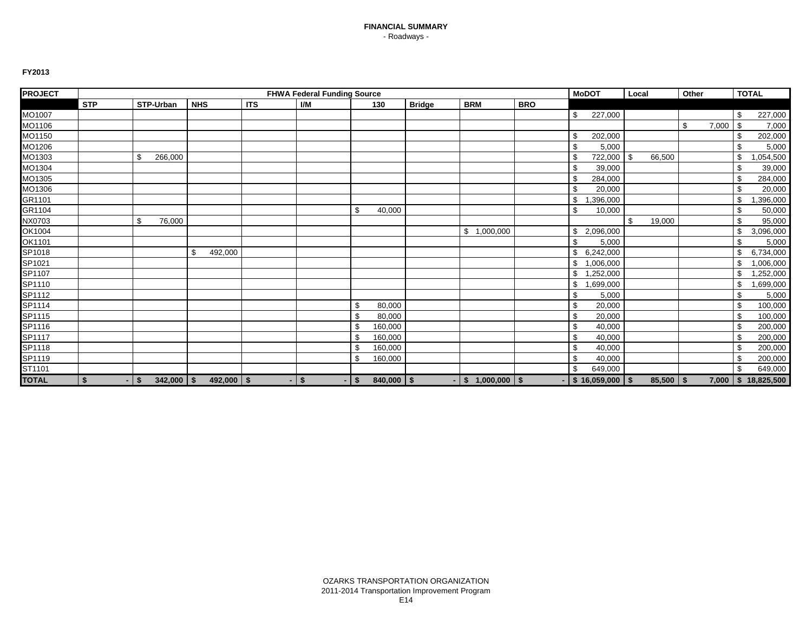| <b>PROJECT</b> |            |                           |                |            | <b>FHWA Federal Funding Source</b> |              |                |               |                  |            | <b>MoDOT</b>         | Local |               | Other |       | <b>TOTAL</b>            |
|----------------|------------|---------------------------|----------------|------------|------------------------------------|--------------|----------------|---------------|------------------|------------|----------------------|-------|---------------|-------|-------|-------------------------|
|                | <b>STP</b> | STP-Urban                 | <b>NHS</b>     | <b>ITS</b> | I/M                                |              | 130            | <b>Bridge</b> | <b>BRM</b>       | <b>BRO</b> |                      |       |               |       |       |                         |
| MO1007         |            |                           |                |            |                                    |              |                |               |                  |            | \$<br>227,000        |       |               |       |       | \$<br>227,000           |
| MO1106         |            |                           |                |            |                                    |              |                |               |                  |            |                      |       |               | \$    | 7,000 | \$<br>7,000             |
| MO1150         |            |                           |                |            |                                    |              |                |               |                  |            | \$<br>202,000        |       |               |       |       | \$<br>202,000           |
| MO1206         |            |                           |                |            |                                    |              |                |               |                  |            | \$<br>5,000          |       |               |       |       | \$<br>5,000             |
| MO1303         |            | \$<br>266,000             |                |            |                                    |              |                |               |                  |            | \$<br>722,000 \$     |       | 66,500        |       |       | \$<br>,054,500          |
| MO1304         |            |                           |                |            |                                    |              |                |               |                  |            | \$<br>39,000         |       |               |       |       | \$<br>39,000            |
| MO1305         |            |                           |                |            |                                    |              |                |               |                  |            | \$<br>284,000        |       |               |       |       | \$<br>284,000           |
| MO1306         |            |                           |                |            |                                    |              |                |               |                  |            | \$<br>20,000         |       |               |       |       | \$<br>20,000            |
| GR1101         |            |                           |                |            |                                    |              |                |               |                  |            | \$<br>,396,000       |       |               |       |       | \$<br>,396,000          |
| GR1104         |            |                           |                |            |                                    | \$           | 40,000         |               |                  |            | \$<br>10,000         |       |               |       |       | \$<br>50,000            |
| NX0703         |            | \$<br>76,000              |                |            |                                    |              |                |               |                  |            |                      | \$    | 19,000        |       |       | \$<br>95,000            |
| OK1004         |            |                           |                |            |                                    |              |                |               | \$1,000,000      |            | \$<br>2,096,000      |       |               |       |       | \$<br>3,096,000         |
| OK1101         |            |                           |                |            |                                    |              |                |               |                  |            | \$<br>5,000          |       |               |       |       | \$<br>5,000             |
| SP1018         |            |                           | \$<br>492,000  |            |                                    |              |                |               |                  |            | 6,242,000            |       |               |       |       | \$<br>6,734,000         |
| SP1021         |            |                           |                |            |                                    |              |                |               |                  |            | \$<br>1,006,000      |       |               |       |       | \$<br>1,006,000         |
| SP1107         |            |                           |                |            |                                    |              |                |               |                  |            | \$<br>,252,000<br>-1 |       |               |       |       | \$<br>,252,000          |
| SP1110         |            |                           |                |            |                                    |              |                |               |                  |            | \$<br>,699,000       |       |               |       |       | \$<br>,699,000          |
| SP1112         |            |                           |                |            |                                    |              |                |               |                  |            | \$<br>5,000          |       |               |       |       | \$<br>5,000             |
| SP1114         |            |                           |                |            |                                    | S.           | 80,000         |               |                  |            | \$<br>20,000         |       |               |       |       | \$<br>100,000           |
| SP1115         |            |                           |                |            |                                    | \$           | 80,000         |               |                  |            | \$<br>20,000         |       |               |       |       | \$<br>100,000           |
| SP1116         |            |                           |                |            |                                    | $\mathbf{f}$ | 160,000        |               |                  |            | \$<br>40,000         |       |               |       |       | \$<br>200,000           |
| SP1117         |            |                           |                |            |                                    | £            | 160,000        |               |                  |            | \$<br>40,000         |       |               |       |       | \$<br>200,000           |
| SP1118         |            |                           |                |            |                                    | \$           | 160,000        |               |                  |            | \$<br>40,000         |       |               |       |       | \$<br>200,000           |
| SP1119         |            |                           |                |            |                                    | \$           | 160,000        |               |                  |            | \$<br>40,000         |       |               |       |       | \$<br>200,000           |
| ST1101         |            |                           |                |            |                                    |              |                |               |                  |            | \$<br>649,000        |       |               |       |       | \$<br>649,000           |
| <b>TOTAL</b>   | \$         | $342,000$   \$<br>$-1$ \$ | $492,000$ \ \$ |            | $\mathbf{s}$                       | <b>S</b>     | $840,000$ \ \$ |               | $-$ \$ 1,000,000 | -\$        | $-$ \$ 16,059,000 \$ |       | $85,500$   \$ |       |       | $7,000$   \$ 18,825,500 |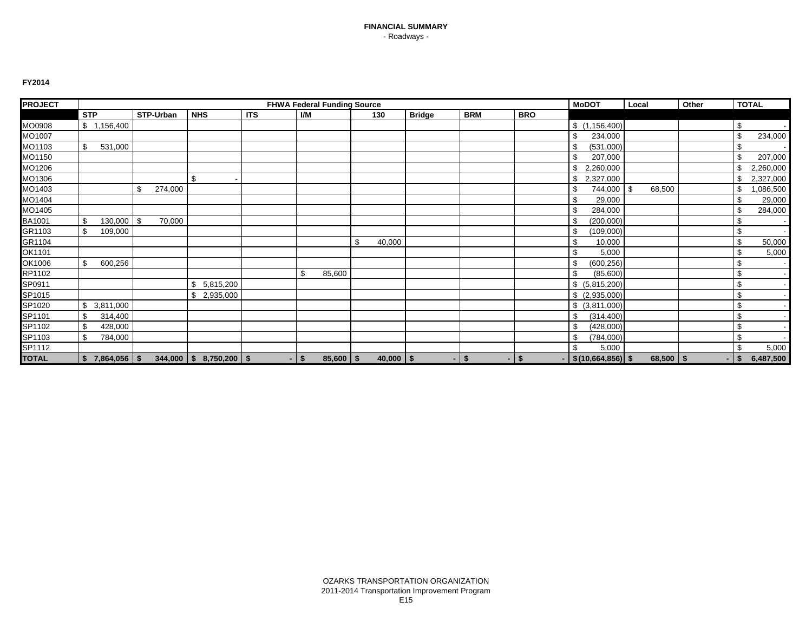| <b>PROJECT</b>   |            |                   | <b>FHWA Federal Funding Source</b> |           |                           |            |         |               |    |               |        |                           |            | <b>MoDOT</b>          | Local        | Other |    | <b>TOTAL</b> |
|------------------|------------|-------------------|------------------------------------|-----------|---------------------------|------------|---------|---------------|----|---------------|--------|---------------------------|------------|-----------------------|--------------|-------|----|--------------|
|                  | <b>STP</b> |                   |                                    | STP-Urban | <b>NHS</b>                | <b>ITS</b> | I/M     |               |    | 130           | Bridge | <b>BRM</b>                | <b>BRO</b> |                       |              |       |    |              |
| MO0908           |            | \$1,156,400       |                                    |           |                           |            |         |               |    |               |        |                           |            | \$(1,156,400)         |              |       | \$ |              |
| MO1007           |            |                   |                                    |           |                           |            |         |               |    |               |        |                           |            | 234,000               |              |       |    | 234,000      |
| MO1103           | \$         | 531,000           |                                    |           |                           |            |         |               |    |               |        |                           |            | (531,000)             |              |       |    |              |
| MO1150           |            |                   |                                    |           |                           |            |         |               |    |               |        |                           |            | 207,000               |              |       |    | 207,000      |
| MO1206           |            |                   |                                    |           |                           |            |         |               |    |               |        |                           |            | 2,260,000             |              |       |    | 2,260,000    |
| MO1306           |            |                   |                                    |           | \$                        |            |         |               |    |               |        |                           |            | 2,327,000             |              |       |    | 2,327,000    |
| MO1403           |            |                   | \$                                 | 274,000   |                           |            |         |               |    |               |        |                           |            | 744,000               | \$<br>68,500 |       |    | ,086,500     |
| MO1404           |            |                   |                                    |           |                           |            |         |               |    |               |        |                           |            | 29,000                |              |       |    | 29,000       |
| MO1405           |            |                   |                                    |           |                           |            |         |               |    |               |        |                           |            | 284,000               |              |       |    | 284,000      |
| BA1001           | \$         | 130,000           | - \$                               | 70,000    |                           |            |         |               |    |               |        |                           |            | (200,000)             |              |       | \$ |              |
| GR1103           | \$         | 109,000           |                                    |           |                           |            |         |               |    |               |        |                           |            | (109,000)             |              |       | \$ |              |
| GR1104           |            |                   |                                    |           |                           |            |         |               | \$ | 40,000        |        |                           |            | 10,000                |              |       | \$ | 50,000       |
| OK1101           |            |                   |                                    |           |                           |            |         |               |    |               |        |                           |            | 5,000                 |              |       |    | 5,000        |
| OK1006           | \$         | 600,256           |                                    |           |                           |            |         |               |    |               |        |                           |            | (600, 256)            |              |       | S  |              |
| RP1102           |            |                   |                                    |           |                           |            | \$      | 85,600        |    |               |        |                           |            | (85,600)              |              |       | \$ | $\sim$       |
| SP0911<br>SP1015 |            |                   |                                    |           | 5,815,200<br>\$.          |            |         |               |    |               |        |                           |            | \$ (5,815,200)        |              |       | \$ |              |
|                  |            |                   |                                    |           | 2,935,000                 |            |         |               |    |               |        |                           |            | \$ (2,935,000)        |              |       | S  |              |
| SP1020           | \$         | 3,811,000         |                                    |           |                           |            |         |               |    |               |        |                           |            | $$$ (3,811,000)       |              |       | \$ | $\sim$       |
| SP1101           | \$         | 314,400           |                                    |           |                           |            |         |               |    |               |        |                           |            | (314, 400)            |              |       | \$ |              |
| SP1102           | \$         | 428,000           |                                    |           |                           |            |         |               |    |               |        |                           |            | (428,000)             |              |       | \$ |              |
| SP1103           | \$         | 784,000           |                                    |           |                           |            |         |               |    |               |        |                           |            | (784,000)<br>- 35     |              |       | \$ |              |
| SP1112           |            |                   |                                    |           |                           |            |         |               |    |               |        |                           |            | 5,000                 |              |       | \$ | 5,000        |
| <b>TOTAL</b>     |            | $$7,864,056$ \ \$ |                                    |           | $344,000$ \$ 8,750,200 \$ |            | $-1$ \$ | $85,600$   \$ |    | $40,000$   \$ |        | $-1$ \$<br>$\blacksquare$ | \$         | $-$ \$(10,664,856) \$ | $68,500$ \$  | ۰     |    | 6,487,500    |